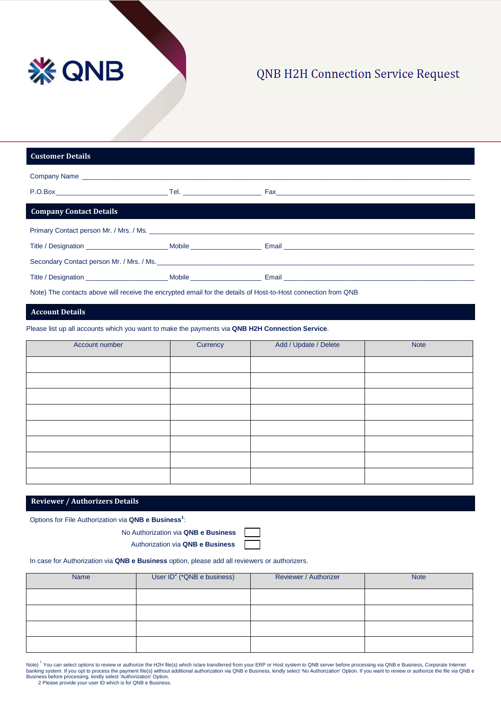

## **QNB H2H Connection Service Request**

| <b>Customer Details</b>        |  |
|--------------------------------|--|
|                                |  |
|                                |  |
| <b>Company Contact Details</b> |  |
|                                |  |
|                                |  |
|                                |  |
|                                |  |
|                                |  |

Note) The contacts above will receive the encrypted email for the details of Host-to-Host connection from QNB

### **Account Details**

Please list up all accounts which you want to make the payments via **QNB H2H Connection Service**.

| Account number | Currency | Add / Update / Delete | Note |
|----------------|----------|-----------------------|------|
|                |          |                       |      |
|                |          |                       |      |
|                |          |                       |      |
|                |          |                       |      |
|                |          |                       |      |
|                |          |                       |      |
|                |          |                       |      |
|                |          |                       |      |

#### **Reviewer / Authorizers Details**

Options for File Authorization via **QNB e Business<sup>1</sup>**:

No Authorization via **QNB e Business**

Authorization via **QNB e Business**

In case for Authorization via **QNB e Business** option, please add all reviewers or authorizers.

| <b>Name</b> | User $ID^2$ (*QNB e business) | Reviewer / Authorizer | <b>Note</b> |
|-------------|-------------------------------|-----------------------|-------------|
|             |                               |                       |             |
|             |                               |                       |             |
|             |                               |                       |             |
|             |                               |                       |             |

Note) <sup>[i](#page-2-0)</sup> You can select options to review or authorize the H2H file(s) which is/are transferred from your ERP or Host system to QNB server before processing via QNB e Business, Corporate Internet<br>banking system. If you op

2 Please provide your user ID which is for QNB e Business.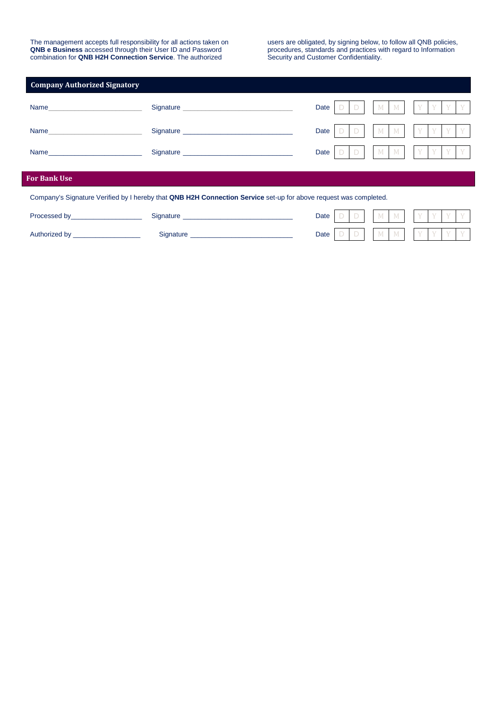The management accepts full responsibility for all actions taken on **QNB e Business** accessed through their User ID and Password combination for **QNB H2H Connection Service**. The authorized

users are obligated, by signing below, to follow all QNB policies, procedures, standards and practices with regard to Information Security and Customer Confidentiality.

| <b>Company Authorized Signatory</b>                                                                              |                                                                                                                                                                                                                                |      |  |  |   |         |  |  |  |  |
|------------------------------------------------------------------------------------------------------------------|--------------------------------------------------------------------------------------------------------------------------------------------------------------------------------------------------------------------------------|------|--|--|---|---------|--|--|--|--|
| Name                                                                                                             | Signature experience and the state of the state of the state of the state of the state of the state of the state of the state of the state of the state of the state of the state of the state of the state of the state of th | Date |  |  |   | $M$ $M$ |  |  |  |  |
| Name                                                                                                             | Signature Signature Signature Signature Signature Signature Signature Signature Signature Signature Signature Signature Signature Signature Signature Signature Signature Signature Signature Signature Signature Signature Si | Date |  |  | M | M       |  |  |  |  |
|                                                                                                                  | Signature Signature Signature Signature Signature Signature Signature Signature Signature Signature Signature Signature Signature Signature Signature Signature Signature Signature Signature Signature Signature Signature Si | Date |  |  |   | M M     |  |  |  |  |
| <b>For Bank Use</b>                                                                                              |                                                                                                                                                                                                                                |      |  |  |   |         |  |  |  |  |
| Company's Signature Verified by I hereby that QNB H2H Connection Service set-up for above request was completed. |                                                                                                                                                                                                                                |      |  |  |   |         |  |  |  |  |
| Processed by Processed by                                                                                        | Signature Signature Signature Signature Signature Signature Signature Signature Signature Signature Signature Signature Signature Signature Signature Signature Signature Signature Signature Signature Signature Signature Si | Date |  |  | M | M       |  |  |  |  |
| Authorized by ______________________                                                                             |                                                                                                                                                                                                                                | Date |  |  |   | M M     |  |  |  |  |